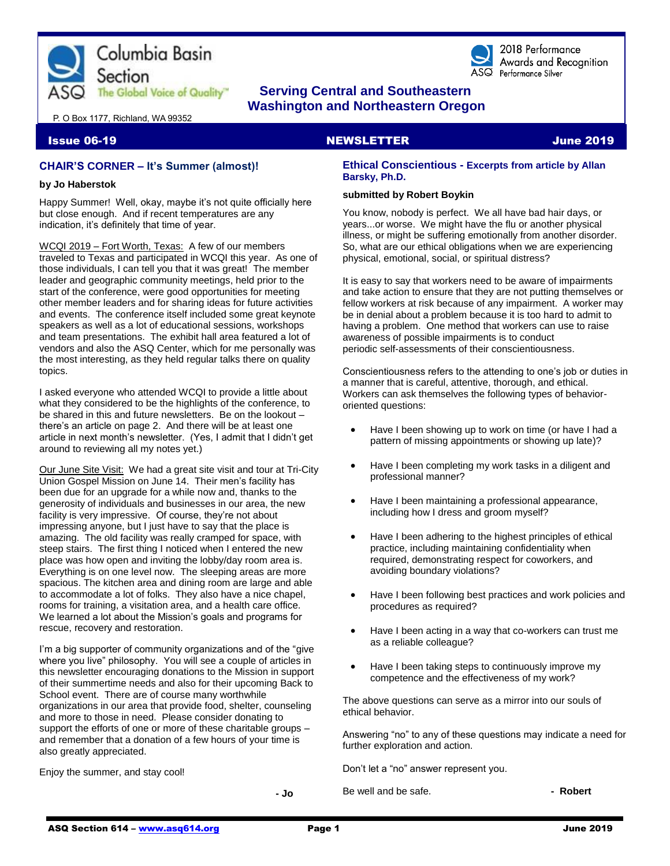



2018 Performance Awards and Recognition ASQ Performance Silver

# **The Global Voice of Quality"** Serving Central and Southeastern  **Washington and Northeastern Oregon**

P. O Box 1177, Richland, WA 99352

### **Issue 06-19 NEWSLETTER** The Second Library of the MEWSLETTER Second Library of the Second Library of the Second Library of the Second Library of the Second Library of the Second Library of the Second Library of the Second

## **CHAIR'S CORNER – It's Summer (almost)!**

#### **by Jo Haberstok**

Happy Summer! Well, okay, maybe it's not quite officially here but close enough. And if recent temperatures are any indication, it's definitely that time of year.

WCQI 2019 – Fort Worth, Texas: A few of our members traveled to Texas and participated in WCQI this year. As one of those individuals, I can tell you that it was great! The member leader and geographic community meetings, held prior to the start of the conference, were good opportunities for meeting other member leaders and for sharing ideas for future activities and events. The conference itself included some great keynote speakers as well as a lot of educational sessions, workshops and team presentations. The exhibit hall area featured a lot of vendors and also the ASQ Center, which for me personally was the most interesting, as they held regular talks there on quality topics.

I asked everyone who attended WCQI to provide a little about what they considered to be the highlights of the conference, to be shared in this and future newsletters. Be on the lookout – there's an article on page 2. And there will be at least one article in next month's newsletter. (Yes, I admit that I didn't get around to reviewing all my notes yet.)

Our June Site Visit: We had a great site visit and tour at Tri-City Union Gospel Mission on June 14. Their men's facility has been due for an upgrade for a while now and, thanks to the generosity of individuals and businesses in our area, the new facility is very impressive. Of course, they're not about impressing anyone, but I just have to say that the place is amazing. The old facility was really cramped for space, with steep stairs. The first thing I noticed when I entered the new place was how open and inviting the lobby/day room area is. Everything is on one level now. The sleeping areas are more spacious. The kitchen area and dining room are large and able to accommodate a lot of folks. They also have a nice chapel, rooms for training, a visitation area, and a health care office. We learned a lot about the Mission's goals and programs for rescue, recovery and restoration.

I'm a big supporter of community organizations and of the "give" where you live" philosophy. You will see a couple of articles in this newsletter encouraging donations to the Mission in support of their summertime needs and also for their upcoming Back to School event. There are of course many worthwhile organizations in our area that provide food, shelter, counseling and more to those in need. Please consider donating to support the efforts of one or more of these charitable groups – and remember that a donation of a few hours of your time is also greatly appreciated.

#### Enjoy the summer, and stay cool!

**- Jo**

### **Ethical Conscientious - Excerpts from article by Allan Barsky, Ph.D.**

#### **submitted by Robert Boykin**

You know, nobody is perfect. We all have bad hair days, or years...or worse. We might have the flu or another physical illness, or might be suffering emotionally from another disorder. So, what are our ethical obligations when we are experiencing physical, emotional, social, or spiritual distress?

It is easy to say that workers need to be aware of impairments and take action to ensure that they are not putting themselves or fellow workers at risk because of any impairment. A worker may be in denial about a problem because it is too hard to admit to having a problem. One method that workers can use to raise awareness of possible impairments is to conduct periodic self-assessments of their conscientiousness.

Conscientiousness refers to the attending to one's job or duties in a manner that is careful, attentive, thorough, and ethical. Workers can ask themselves the following types of behaviororiented questions:

- Have I been showing up to work on time (or have I had a pattern of missing appointments or showing up late)?
- Have I been completing my work tasks in a diligent and professional manner?
- Have I been maintaining a professional appearance, including how I dress and groom myself?
- Have I been adhering to the highest principles of ethical practice, including maintaining confidentiality when required, demonstrating respect for coworkers, and avoiding boundary violations?
- Have I been following best practices and work policies and procedures as required?
- Have I been acting in a way that co-workers can trust me as a reliable colleague?
- Have I been taking steps to continuously improve my competence and the effectiveness of my work?

The above questions can serve as a mirror into our souls of ethical behavior.

Answering "no" to any of these questions may indicate a need for further exploration and action.

Don't let a "no" answer represent you.

Be well and be safe. **- All and be safe.** All and be safe.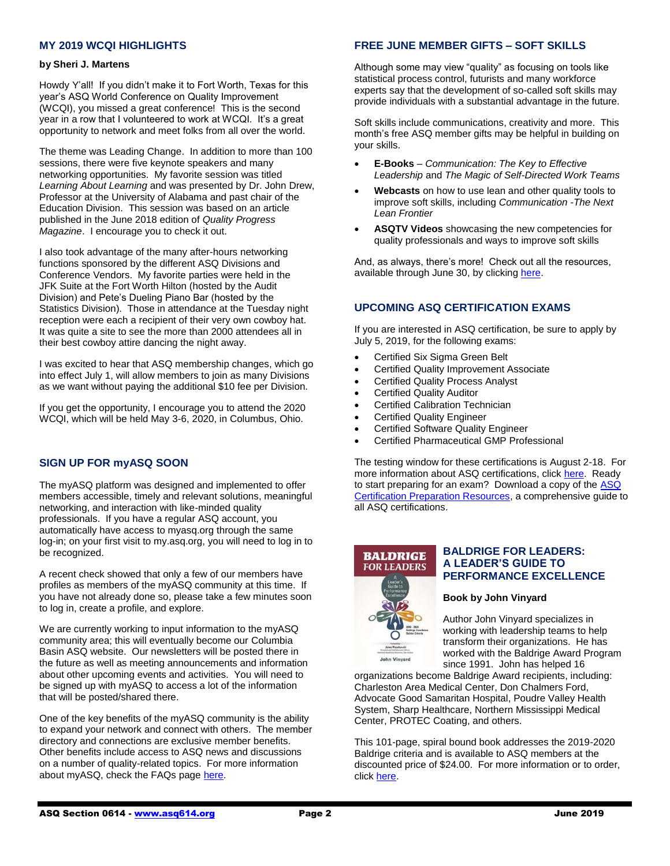## **MY 2019 WCQI HIGHLIGHTS**

#### **by Sheri J. Martens**

Howdy Y'all! If you didn't make it to Fort Worth, Texas for this year's ASQ World Conference on Quality Improvement (WCQI), you missed a great conference! This is the second year in a row that I volunteered to work at WCQI. It's a great opportunity to network and meet folks from all over the world.

The theme was Leading Change. In addition to more than 100 sessions, there were five keynote speakers and many networking opportunities. My favorite session was titled *Learning About Learning* and was presented by Dr. John Drew, Professor at the University of Alabama and past chair of the Education Division. This session was based on an article published in the June 2018 edition of *Quality Progress Magazine*. I encourage you to check it out.

I also took advantage of the many after-hours networking functions sponsored by the different ASQ Divisions and Conference Vendors. My favorite parties were held in the JFK Suite at the Fort Worth Hilton (hosted by the Audit Division) and Pete's Dueling Piano Bar (hosted by the Statistics Division). Those in attendance at the Tuesday night reception were each a recipient of their very own cowboy hat. It was quite a site to see the more than 2000 attendees all in their best cowboy attire dancing the night away.

I was excited to hear that ASQ membership changes, which go into effect July 1, will allow members to join as many Divisions as we want without paying the additional \$10 fee per Division.

If you get the opportunity, I encourage you to attend the 2020 WCQI, which will be held May 3-6, 2020, in Columbus, Ohio.

# **SIGN UP FOR myASQ SOON**

The myASQ platform was designed and implemented to offer members accessible, timely and relevant solutions, meaningful networking, and interaction with like-minded quality professionals. If you have a regular ASQ account, you automatically have access to myasq.org through the same log-in; on your first visit to my.asq.org, you will need to log in to be recognized.

A recent check showed that only a few of our members have profiles as members of the myASQ community at this time. If you have not already done so, please take a few minutes soon to log in, create a profile, and explore.

We are currently working to input information to the myASQ community area; this will eventually become our Columbia Basin ASQ website. Our newsletters will be posted there in the future as well as meeting announcements and information about other upcoming events and activities. You will need to be signed up with myASQ to access a lot of the information that will be posted/shared there.

One of the key benefits of the myASQ community is the ability to expand your network and connect with others. The member directory and connections are exclusive member benefits. Other benefits include access to ASQ news and discussions on a number of quality-related topics. For more information about myASQ, check the FAQs page [here.](https://my.asq.org/faqs)

### **FREE JUNE MEMBER GIFTS – SOFT SKILLS**

Although some may view "quality" as focusing on tools like statistical process control, futurists and many workforce experts say that the development of so-called soft skills may provide individuals with a substantial advantage in the future.

Soft skills include communications, creativity and more. This month's free ASQ member gifts may be helpful in building on your skills.

- **E-Books** *Communication: The Key to Effective Leadership* and *The Magic of Self-Directed Work Teams*
- **Webcasts** on how to use lean and other quality tools to improve soft skills, including *Communication -The Next Lean Frontier*
- **ASQTV Videos** showcasing the new competencies for quality professionals and ways to improve soft skills

And, as always, there's more! Check out all the resources, available through June 30, by clicking [here.](http://asq.org/membership/members/gift/?utm_source=email)

## **UPCOMING ASQ CERTIFICATION EXAMS**

If you are interested in ASQ certification, be sure to apply by July 5, 2019, for the following exams:

- Certified Six Sigma Green Belt
- Certified Quality Improvement Associate
- Certified Quality Process Analyst
- Certified Quality Auditor
- Certified Calibration Technician
- Certified Quality Engineer
- Certified Software Quality Engineer
- Certified Pharmaceutical GMP Professional

The testing window for these certifications is August 2-18. For more information about ASQ certifications, clic[k here.](https://asq.org/cert?utm_source=email&utm_medium=email&utm_campaign=certification_computerbased_120418) Ready to start preparing for an exam? Download a copy of th[e ASQ](http://www.nxtbook.com/naylor/ASQM/ASQC12518/index.php#/6)  [Certification Preparation Resources,](http://www.nxtbook.com/naylor/ASQM/ASQC12518/index.php#/6) a comprehensive guide to all ASQ certifications.



### **BALDRIGE FOR LEADERS: A LEADER'S GUIDE TO PERFORMANCE EXCELLENCE**

#### **Book by John Vinyard**

Author John Vinyard specializes in working with leadership teams to help transform their organizations. He has worked with the Baldrige Award Program since 1991. John has helped 16

organizations become Baldrige Award recipients, including: Charleston Area Medical Center, Don Chalmers Ford, Advocate Good Samaritan Hospital, Poudre Valley Health System, Sharp Healthcare, Northern Mississippi Medical Center, PROTEC Coating, and others.

This 101-page, spiral bound book addresses the 2019-2020 Baldrige criteria and is available to ASQ members at the discounted price of \$24.00. For more information or to order, click [here.](https://asq.org/quality-press/display-item?item=H1563)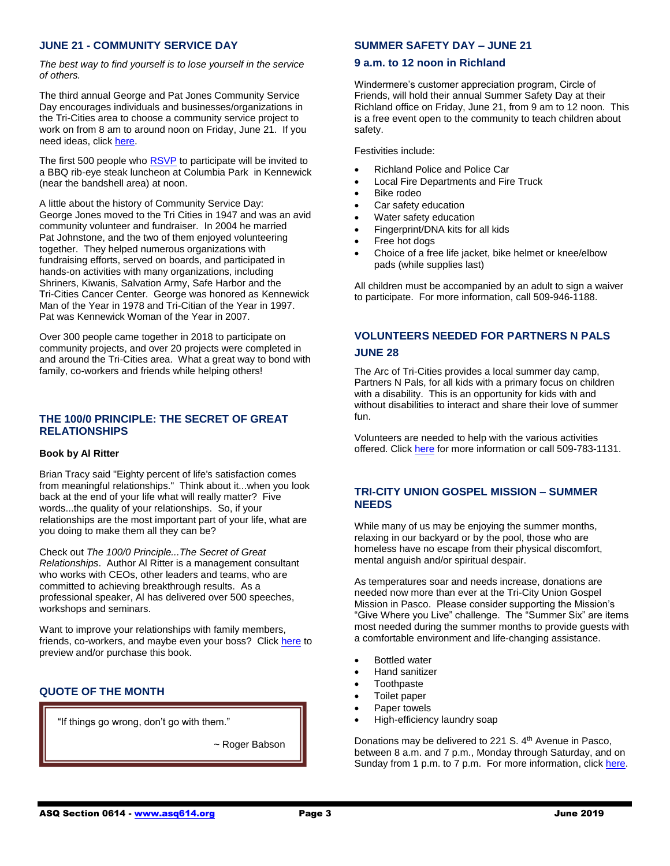### **JUNE 21 - COMMUNITY SERVICE DAY**

*The best way to find yourself is to lose yourself in the service of others.*

The third annual George and Pat Jones Community Service Day encourages individuals and businesses/organizations in the Tri-Cities area to choose a community service project to work on from 8 am to around noon on Friday, June 21. If you need ideas, click [here.](file:///F:/ASQ%202019/2019%20Newsletters/June%202019%20Newsletter/here)

The first 500 people who [RSVP](http://www.communityserviceday.com/rsvp-for-event.html) to participate will be invited to a BBQ rib-eye steak luncheon at Columbia Park in Kennewick (near the bandshell area) at noon.

A little about the history of Community Service Day: George Jones moved to the Tri Cities in 1947 and was an avid community volunteer and fundraiser. In 2004 he married Pat Johnstone, and the two of them enjoyed volunteering together. They helped numerous organizations with fundraising efforts, served on boards, and participated in hands-on activities with many organizations, including Shriners, Kiwanis, Salvation Army, Safe Harbor and the Tri-Cities Cancer Center. George was honored as Kennewick Man of the Year in 1978 and Tri-Citian of the Year in 1997. Pat was Kennewick Woman of the Year in 2007.

Over 300 people came together in 2018 to participate on community projects, and over 20 projects were completed in and around the Tri-Cities area. What a great way to bond with family, co-workers and friends while helping others!

### **THE 100/0 PRINCIPLE: THE SECRET OF GREAT RELATIONSHIPS**

#### **Book by Al Ritter**

Brian Tracy said "Eighty percent of life's satisfaction comes from meaningful relationships." Think about it...when you look back at the end of your life what will really matter? Five words...the quality of your relationships. So, if your relationships are the most important part of your life, what are you doing to make them all they can be?

Check out *The 100/0 Principle...The Secret of Great Relationships*. Author Al Ritter is a management consultant who works with CEOs, other leaders and teams, who are committed to achieving breakthrough results. As a professional speaker, Al has delivered over 500 speeches, workshops and seminars.

Want to improve your relationships with family members, friends, co-workers, and maybe even your boss? Click [here](https://www.walkthetalk.com/the-100-0-principle.html?utm_source=Walk+the+Talk+Master+List&utm_campaign=ba8fac6676-EMAIL_CAMPAIGN_2017_28_17_COPY_01&utm_medium=email&utm_term=0_46fccdf186-ba8fac6676-86469245&mc_cid=ba8fac6676&mc_eid=dba56c85a9) to preview and/or purchase this book.

# **QUOTE OF THE MONTH**

"If things go wrong, don't go with them."

~ Roger Babson

#### **SUMMER SAFETY DAY – JUNE 21**

### **9 a.m. to 12 noon in Richland**

Windermere's customer appreciation program, Circle of Friends, will hold their annual Summer Safety Day at their Richland office on Friday, June 21, from 9 am to 12 noon. This is a free event open to the community to teach children about safety.

Festivities include:

- Richland Police and Police Car
- Local Fire Departments and Fire Truck
- Bike rodeo
- Car safety education
- Water safety education
- Fingerprint/DNA kits for all kids
- Free hot dogs
- Choice of a free life jacket, bike helmet or knee/elbow pads (while supplies last)

All children must be accompanied by an adult to sign a waiver to participate. For more information, call 509-946-1188.

# **VOLUNTEERS NEEDED FOR PARTNERS N PALS JUNE 28**

The Arc of Tri-Cities provides a local summer day camp, Partners N Pals, for all kids with a primary focus on children with a disability. This is an opportunity for kids with and without disabilities to interact and share their love of summer fun.

Volunteers are needed to help with the various activities offered. Click [here](http://www.arcoftricities.com/) for more information or call 509-783-1131.

### **TRI-CITY UNION GOSPEL MISSION – SUMMER NEEDS**

While many of us may be enjoying the summer months, relaxing in our backyard or by the pool, those who are homeless have no escape from their physical discomfort, mental anguish and/or spiritual despair.

As temperatures soar and needs increase, donations are needed now more than ever at the Tri-City Union Gospel Mission in Pasco. Please consider supporting the Mission's "Give Where you Live" challenge. The "Summer Six" are items most needed during the summer months to provide guests with a comfortable environment and life-changing assistance.

- Bottled water
- Hand sanitizer
- **Toothpaste**
- Toilet paper
- Paper towels
- High-efficiency laundry soap

Donations may be delivered to 221 S.  $4<sup>th</sup>$  Avenue in Pasco, between 8 a.m. and 7 p.m., Monday through Saturday, and on Sunday from 1 p.m. to 7 p.m. For more information, clic[k here.](http://www.tcugm.org/)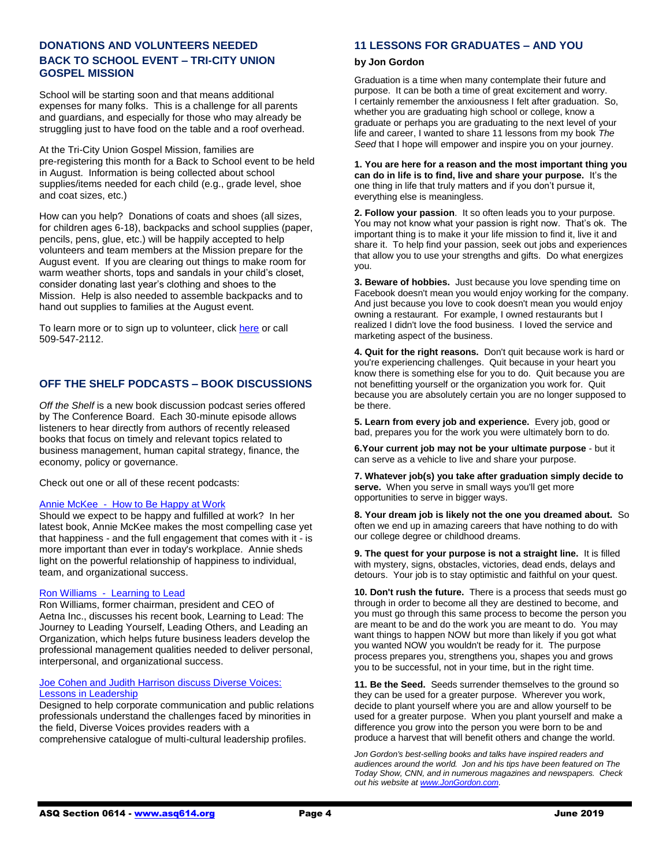# **DONATIONS AND VOLUNTEERS NEEDED BACK TO SCHOOL EVENT – TRI-CITY UNION GOSPEL MISSION**

School will be starting soon and that means additional expenses for many folks. This is a challenge for all parents and guardians, and especially for those who may already be struggling just to have food on the table and a roof overhead.

At the Tri-City Union Gospel Mission, families are pre-registering this month for a Back to School event to be held in August. Information is being collected about school supplies/items needed for each child (e.g., grade level, shoe and coat sizes, etc.)

How can you help? Donations of coats and shoes (all sizes, for children ages 6-18), backpacks and school supplies (paper, pencils, pens, glue, etc.) will be happily accepted to help volunteers and team members at the Mission prepare for the August event. If you are clearing out things to make room for warm weather shorts, tops and sandals in your child's closet, consider donating last year's clothing and shoes to the Mission. Help is also needed to assemble backpacks and to hand out supplies to families at the August event.

To learn more or to sign up to volunteer, clic[k here](http://www.tcugm.org/get-involved/) or call 509-547-2112.

# **OFF THE SHELF PODCASTS – BOOK DISCUSSIONS**

*Off the Shelf* is a new book discussion podcast series offered by The Conference Board. Each 30-minute episode allows listeners to hear directly from authors of recently released books that focus on timely and relevant topics related to business management, human capital strategy, finance, the economy, policy or governance.

Check out one or all of these recent podcasts:

#### [Annie McKee - How to Be Happy at Work](https://www.conference-board.org/blog/postdetail.cfm?post=7064)

Should we expect to be happy and fulfilled at work? In her latest book, Annie McKee makes the most compelling case yet that happiness - and the full engagement that comes with it - is more important than ever in today's workplace. Annie sheds light on the powerful relationship of happiness to individual, team, and organizational success.

#### [Ron Williams - Learning to Lead](https://www.conference-board.org/blog/postdetail.cfm?post=7071)

Ron Williams, former chairman, president and CEO of Aetna Inc., discusses his recent book, Learning to Lead: The Journey to Leading Yourself, Leading Others, and Leading an Organization, which helps future business leaders develop the professional management qualities needed to deliver personal, interpersonal, and organizational success.

#### [Joe Cohen and Judith Harrison discuss Diverse Voices:](https://www.conference-board.org/blog/postdetail.cfm?post=7004)  [Lessons in Leadership](https://www.conference-board.org/blog/postdetail.cfm?post=7004)

Designed to help corporate communication and public relations professionals understand the challenges faced by minorities in the field, Diverse Voices provides readers with a comprehensive catalogue of multi-cultural leadership profiles.

### **11 LESSONS FOR GRADUATES – AND YOU**

#### **by Jon Gordon**

Graduation is a time when many contemplate their future and purpose. It can be both a time of great excitement and worry. I certainly remember the anxiousness I felt after graduation. So, whether you are graduating high school or college, know a graduate or perhaps you are graduating to the next level of your life and career, I wanted to share 11 lessons from my book *The Seed* that I hope will empower and inspire you on your journey.

**1. You are here for a reason and the most important thing you can do in life is to find, live and share your purpose.** It's the one thing in life that truly matters and if you don't pursue it, everything else is meaningless.

**2. Follow your passion**. It so often leads you to your purpose. You may not know what your passion is right now. That's ok. The important thing is to make it your life mission to find it, live it and share it. To help find your passion, seek out jobs and experiences that allow you to use your strengths and gifts. Do what energizes you.

**3. Beware of hobbies.** Just because you love spending time on Facebook doesn't mean you would enjoy working for the company. And just because you love to cook doesn't mean you would enjoy owning a restaurant. For example, I owned restaurants but I realized I didn't love the food business. I loved the service and marketing aspect of the business.

**4. Quit for the right reasons.** Don't quit because work is hard or you're experiencing challenges. Quit because in your heart you know there is something else for you to do. Quit because you are not benefitting yourself or the organization you work for. Quit because you are absolutely certain you are no longer supposed to be there.

**5. Learn from every job and experience.** Every job, good or bad, prepares you for the work you were ultimately born to do.

**6.Your current job may not be your ultimate purpose** - but it can serve as a vehicle to live and share your purpose.

**7. Whatever job(s) you take after graduation simply decide to**  serve. When you serve in small ways you'll get more opportunities to serve in bigger ways.

**8. Your dream job is likely not the one you dreamed about.** So often we end up in amazing careers that have nothing to do with our college degree or childhood dreams.

**9. The quest for your purpose is not a straight line.** It is filled with mystery, signs, obstacles, victories, dead ends, delays and detours. Your job is to stay optimistic and faithful on your quest.

**10. Don't rush the future.** There is a process that seeds must go through in order to become all they are destined to become, and you must go through this same process to become the person you are meant to be and do the work you are meant to do. You may want things to happen NOW but more than likely if you got what you wanted NOW you wouldn't be ready for it. The purpose process prepares you, strengthens you, shapes you and grows you to be successful, not in your time, but in the right time.

**11. Be the Seed.** Seeds surrender themselves to the ground so they can be used for a greater purpose. Wherever you work, decide to plant yourself where you are and allow yourself to be used for a greater purpose. When you plant yourself and make a difference you grow into the person you were born to be and produce a harvest that will benefit others and change the world.

*Jon Gordon's best-selling books and talks have inspired readers and audiences around the world. Jon and his tips have been featured on The Today Show, CNN, and in numerous magazines and newspapers. Check out his website a[t www.JonGordon.com.](http://www.jongordon.com/)*